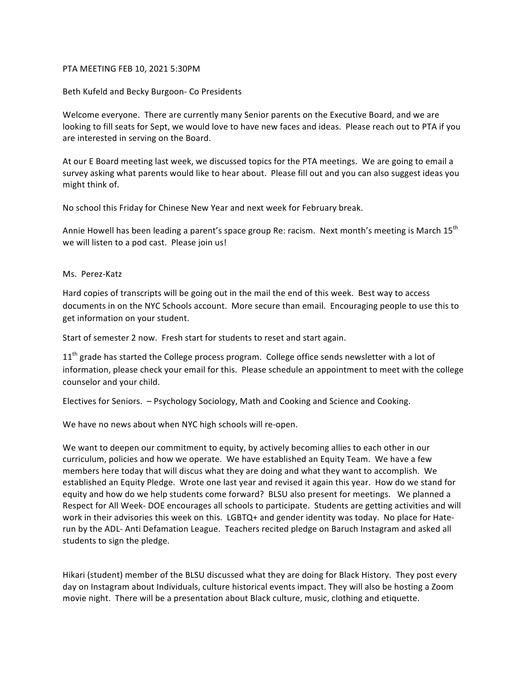## PTA MEETING FEB 10, 2021 5:30PM

## Beth Kufeld and Becky Burgoon- Co Presidents

Welcome everyone. There are currently many Senior parents on the Executive Board, and we are looking to fill seats for Sept, we would love to have new faces and ideas. Please reach out to PTA if you are interested in serving on the Board.

At our E Board meeting last week, we discussed topics for the PTA meetings. We are going to email a survey asking what parents would like to hear about. Please fill out and you can also suggest ideas you might think of.

No school this Friday for Chinese New Year and next week for February break.

Annie Howell has been leading a parent's space group Re: racism. Next month's meeting is March 15<sup>th</sup> we will listen to a pod cast. Please join us!

## Ms. Perez-Katz

Hard copies of transcripts will be going out in the mail the end of this week. Best way to access documents in on the NYC Schools account. More secure than email. Encouraging people to use this to get information on your student.

Start of semester 2 now. Fresh start for students to reset and start again.

 $11<sup>th</sup>$  grade has started the College process program. College office sends newsletter with a lot of information, please check your email for this. Please schedule an appointment to meet with the college counselor and your child.

Electives for Seniors.  $-$  Psychology Sociology, Math and Cooking and Science and Cooking.

We have no news about when NYC high schools will re-open.

We want to deepen our commitment to equity, by actively becoming allies to each other in our curriculum, policies and how we operate. We have established an Equity Team. We have a few members here today that will discus what they are doing and what they want to accomplish. We established an Equity Pledge. Wrote one last year and revised it again this year. How do we stand for equity and how do we help students come forward? BLSU also present for meetings. We planned a Respect for All Week- DOE encourages all schools to participate. Students are getting activities and will work in their advisories this week on this. LGBTQ+ and gender identity was today. No place for Haterun by the ADL- Anti Defamation League. Teachers recited pledge on Baruch Instagram and asked all students to sign the pledge.

Hikari (student) member of the BLSU discussed what they are doing for Black History. They post every day on Instagram about Individuals, culture historical events impact. They will also be hosting a Zoom movie night. There will be a presentation about Black culture, music, clothing and etiquette.